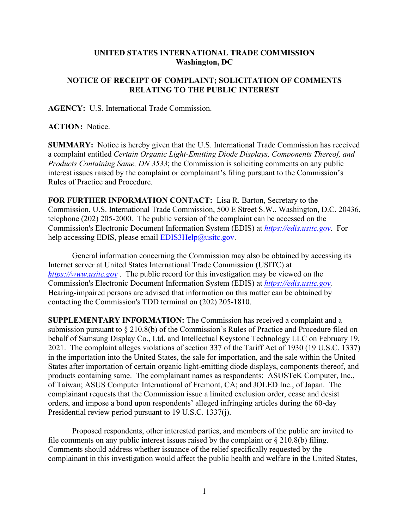## **UNITED STATES INTERNATIONAL TRADE COMMISSION Washington, DC**

## **NOTICE OF RECEIPT OF COMPLAINT; SOLICITATION OF COMMENTS RELATING TO THE PUBLIC INTEREST**

**AGENCY:** U.S. International Trade Commission.

**ACTION:** Notice.

**SUMMARY:** Notice is hereby given that the U.S. International Trade Commission has received a complaint entitled *Certain Organic Light-Emitting Diode Displays, Components Thereof, and Products Containing Same, DN 3533*; the Commission is soliciting comments on any public interest issues raised by the complaint or complainant's filing pursuant to the Commission's Rules of Practice and Procedure.

**FOR FURTHER INFORMATION CONTACT:** Lisa R. Barton, Secretary to the Commission, U.S. International Trade Commission, 500 E Street S.W., Washington, D.C. 20436, telephone (202) 205-2000. The public version of the complaint can be accessed on the Commission's Electronic Document Information System (EDIS) at *[https://edis.usitc.gov](https://edis.usitc.gov/)*. For help accessing EDIS, please email  $EDIS3Help@usite.gov$ .

General information concerning the Commission may also be obtained by accessing its Internet server at United States International Trade Commission (USITC) at *[https://www.usitc.gov](https://www.usitc.gov/)* . The public record for this investigation may be viewed on the Commission's Electronic Document Information System (EDIS) at *[https://edis.usitc.gov.](https://edis.usitc.gov/)* Hearing-impaired persons are advised that information on this matter can be obtained by contacting the Commission's TDD terminal on (202) 205-1810.

**SUPPLEMENTARY INFORMATION:** The Commission has received a complaint and a submission pursuant to § 210.8(b) of the Commission's Rules of Practice and Procedure filed on behalf of Samsung Display Co., Ltd. and Intellectual Keystone Technology LLC on February 19, 2021. The complaint alleges violations of section 337 of the Tariff Act of 1930 (19 U.S.C. 1337) in the importation into the United States, the sale for importation, and the sale within the United States after importation of certain organic light-emitting diode displays, components thereof, and products containing same. The complainant names as respondents: ASUSTeK Computer, Inc., of Taiwan; ASUS Computer International of Fremont, CA; and JOLED Inc., of Japan. The complainant requests that the Commission issue a limited exclusion order, cease and desist orders, and impose a bond upon respondents' alleged infringing articles during the 60-day Presidential review period pursuant to 19 U.S.C. 1337(j).

Proposed respondents, other interested parties, and members of the public are invited to file comments on any public interest issues raised by the complaint or § 210.8(b) filing. Comments should address whether issuance of the relief specifically requested by the complainant in this investigation would affect the public health and welfare in the United States,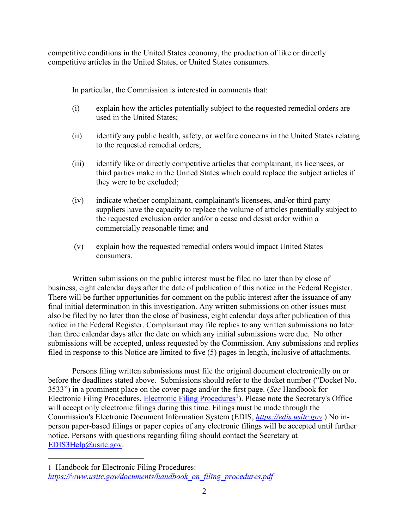competitive conditions in the United States economy, the production of like or directly competitive articles in the United States, or United States consumers.

In particular, the Commission is interested in comments that:

- (i) explain how the articles potentially subject to the requested remedial orders are used in the United States;
- (ii) identify any public health, safety, or welfare concerns in the United States relating to the requested remedial orders;
- (iii) identify like or directly competitive articles that complainant, its licensees, or third parties make in the United States which could replace the subject articles if they were to be excluded;
- (iv) indicate whether complainant, complainant's licensees, and/or third party suppliers have the capacity to replace the volume of articles potentially subject to the requested exclusion order and/or a cease and desist order within a commercially reasonable time; and
- (v) explain how the requested remedial orders would impact United States consumers.

Written submissions on the public interest must be filed no later than by close of business, eight calendar days after the date of publication of this notice in the Federal Register. There will be further opportunities for comment on the public interest after the issuance of any final initial determination in this investigation. Any written submissions on other issues must also be filed by no later than the close of business, eight calendar days after publication of this notice in the Federal Register. Complainant may file replies to any written submissions no later than three calendar days after the date on which any initial submissions were due. No other submissions will be accepted, unless requested by the Commission. Any submissions and replies filed in response to this Notice are limited to five (5) pages in length, inclusive of attachments.

Persons filing written submissions must file the original document electronically on or before the deadlines stated above. Submissions should refer to the docket number ("Docket No. 3533") in a prominent place on the cover page and/or the first page. (*See* Handbook for Electronic Filing Procedures, [Electronic Filing Procedures](https://www.usitc.gov/documents/handbook_on_filing_procedures.pdf)<sup>[1](#page-1-0)</sup>). Please note the Secretary's Office will accept only electronic filings during this time. Filings must be made through the Commission's Electronic Document Information System (EDIS, *[https://edis.usitc.gov](https://edis.usitc.gov/)*.) No inperson paper-based filings or paper copies of any electronic filings will be accepted until further notice. Persons with questions regarding filing should contact the Secretary at [EDIS3Help@usitc.gov.](mailto:EDIS3Help@usitc.gov)

<span id="page-1-0"></span><sup>1</sup> Handbook for Electronic Filing Procedures: *[https://www.usitc.gov/documents/handbook\\_on\\_filing\\_procedures.pdf](https://www.usitc.gov/documents/handbook_on_filing_procedures.pdf)*